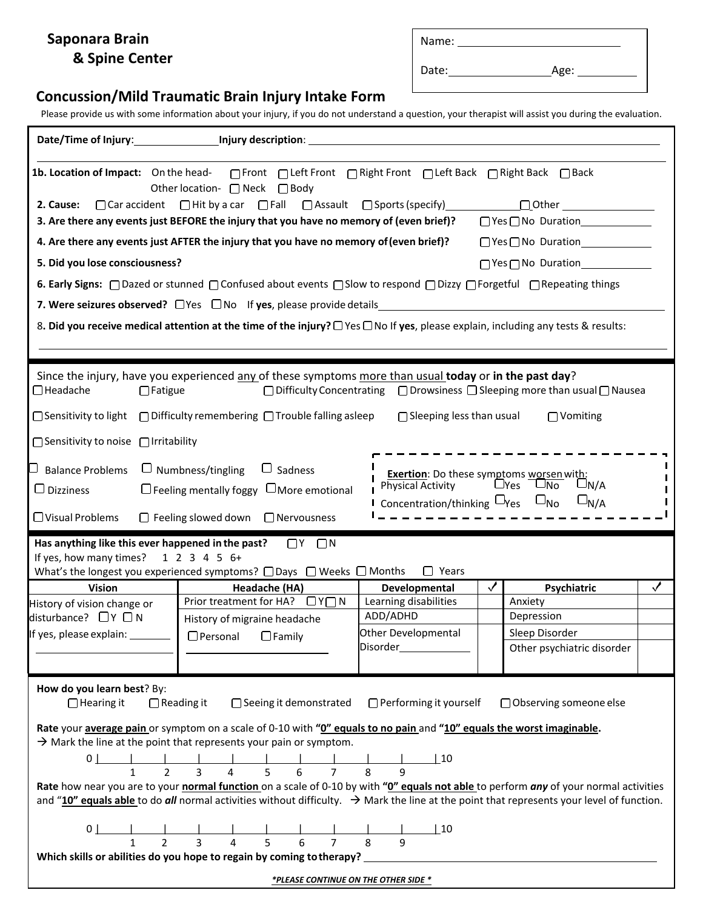## **Saponara Brain & Spine Center**

| Name: |      |
|-------|------|
| Date: | Age: |

## **Concussion/Mild Traumatic Brain Injury Intake Form**

Please provide us with some information about your injury, if you do not understand a question, your therapist will assist you during the evaluation.

| Date/Time of Injury: Date/Time of Injury:                                                                                                                                                                                                                                                                                                                                                                       | Injury description: <u>contract the contract of the contract of the contract of the contract of the contract of</u>                                                                                                                                                                                                                                                                                                                                           |                                                               |   |                                                                                                                  |              |  |  |  |
|-----------------------------------------------------------------------------------------------------------------------------------------------------------------------------------------------------------------------------------------------------------------------------------------------------------------------------------------------------------------------------------------------------------------|---------------------------------------------------------------------------------------------------------------------------------------------------------------------------------------------------------------------------------------------------------------------------------------------------------------------------------------------------------------------------------------------------------------------------------------------------------------|---------------------------------------------------------------|---|------------------------------------------------------------------------------------------------------------------|--------------|--|--|--|
| 2. Cause:                                                                                                                                                                                                                                                                                                                                                                                                       | Other location- □ Neck □ Body<br>$\Box$ Car accident $\Box$ Hit by a car $\Box$ Fall $\Box$ Assault $\Box$ Sports (specify)<br>3. Are there any events just BEFORE the injury that you have no memory of (even brief)?                                                                                                                                                                                                                                        |                                                               |   | □ Yes □ No Duration<br>□ Yes □ No Duration<br>□ Yes □ No Duration                                                |              |  |  |  |
|                                                                                                                                                                                                                                                                                                                                                                                                                 | 4. Are there any events just AFTER the injury that you have no memory of (even brief)?                                                                                                                                                                                                                                                                                                                                                                        |                                                               |   | $\Box$ Yes $\Box$ No Duration                                                                                    |              |  |  |  |
| 5. Did you lose consciousness?                                                                                                                                                                                                                                                                                                                                                                                  |                                                                                                                                                                                                                                                                                                                                                                                                                                                               |                                                               |   | $\bigcap$ Yes $\bigcap$ No Duration                                                                              |              |  |  |  |
|                                                                                                                                                                                                                                                                                                                                                                                                                 | 6. Early Signs: □ Dazed or stunned □ Confused about events □ Slow to respond □ Dizzy □ Forgetful □ Repeating things                                                                                                                                                                                                                                                                                                                                           |                                                               |   |                                                                                                                  |              |  |  |  |
|                                                                                                                                                                                                                                                                                                                                                                                                                 | 7. Were seizures observed? $\Box$ Yes $\Box$ No If yes, please provide details                                                                                                                                                                                                                                                                                                                                                                                |                                                               |   | and the control of the control of the control of the control of the control of the control of the control of the |              |  |  |  |
|                                                                                                                                                                                                                                                                                                                                                                                                                 | 8. Did you receive medical attention at the time of the injury? $\Box$ Yes $\Box$ No If yes, please explain, including any tests & results:                                                                                                                                                                                                                                                                                                                   |                                                               |   |                                                                                                                  |              |  |  |  |
|                                                                                                                                                                                                                                                                                                                                                                                                                 |                                                                                                                                                                                                                                                                                                                                                                                                                                                               |                                                               |   |                                                                                                                  |              |  |  |  |
| $\Box$ Headache<br>$\Box$ Fatigue                                                                                                                                                                                                                                                                                                                                                                               | Since the injury, have you experienced any of these symptoms more than usual today or in the past day?<br>$\Box$ Sensitivity to light $\Box$ Difficulty remembering $\Box$ Trouble falling asleep                                                                                                                                                                                                                                                             | $\bigcap$ Sleeping less than usual                            |   | $\Box$ Difficulty Concentrating $\Box$ Drowsiness $\Box$ Sleeping more than usual $\Box$ Nausea<br>□ Vomiting    |              |  |  |  |
| □ Sensitivity to noise □ Irritability                                                                                                                                                                                                                                                                                                                                                                           |                                                                                                                                                                                                                                                                                                                                                                                                                                                               |                                                               |   |                                                                                                                  |              |  |  |  |
| $\Box$ Numbness/tingling $\Box$ Sadness<br><b>Balance Problems</b><br><b>Exertion</b> : Do these symptoms worsen with:<br>Physical Activity DYes DNo<br>Physical Activity<br>$\bigcup N/A$<br>$\Box$ Feeling mentally foggy $\Box$ More emotional<br>$\Box$ Dizziness<br>Concentration/thinking $\Box$ Yes $\Box$ No<br>$\Box_{N/A}$<br>$\Box$ Visual Problems<br>$\Box$ Feeling slowed down $\Box$ Nervousness |                                                                                                                                                                                                                                                                                                                                                                                                                                                               |                                                               |   |                                                                                                                  |              |  |  |  |
| Has anything like this ever happened in the past?<br>$\Box$ Y $\Box$ N<br>If yes, how many times? $123456+$<br>$\Box$ Years<br>What's the longest you experienced symptoms? $\Box$ Days $\Box$ Weeks $\Box$ Months                                                                                                                                                                                              |                                                                                                                                                                                                                                                                                                                                                                                                                                                               |                                                               |   |                                                                                                                  |              |  |  |  |
| <b>Vision</b>                                                                                                                                                                                                                                                                                                                                                                                                   | Headache (HA)                                                                                                                                                                                                                                                                                                                                                                                                                                                 | Developmental                                                 | ✓ | Psychiatric                                                                                                      | $\checkmark$ |  |  |  |
| History of vision change or<br>disturbance? $\Box$ Y $\Box$ N                                                                                                                                                                                                                                                                                                                                                   | Prior treatment for HA? □ Y□ N                                                                                                                                                                                                                                                                                                                                                                                                                                | Learning disabilities<br>ADD/ADHD                             |   | Anxiety<br>Depression                                                                                            |              |  |  |  |
| If yes, please explain:                                                                                                                                                                                                                                                                                                                                                                                         | History of migraine headache<br>$\Box$ Personal<br>$\Box$ Family                                                                                                                                                                                                                                                                                                                                                                                              | Other Developmental                                           |   | Sleep Disorder                                                                                                   |              |  |  |  |
|                                                                                                                                                                                                                                                                                                                                                                                                                 |                                                                                                                                                                                                                                                                                                                                                                                                                                                               | Disorder                                                      |   | Other psychiatric disorder                                                                                       |              |  |  |  |
| How do you learn best? By:<br>$\Box$ Hearing it<br>$\Box$ Reading it                                                                                                                                                                                                                                                                                                                                            | □ Seeing it demonstrated<br>Rate your average pain or symptom on a scale of 0-10 with "0" equals to no pain and "10" equals the worst imaginable.<br>$\rightarrow$ Mark the line at the point that represents your pain or symptom.<br>Rate how near you are to your normal function on a scale of 0-10 by with "0" equals not able to perform any of your normal activities                                                                                  | $\Box$ Performing it yourself<br>$\perp$ 10<br>$\overline{9}$ |   | □ Observing someone else                                                                                         |              |  |  |  |
|                                                                                                                                                                                                                                                                                                                                                                                                                 | and "10" equals able to do all normal activities without difficulty. $\rightarrow$ Mark the line at the point that represents your level of function.<br>$\frac{1}{3}$ 4<br>$\overline{6}$<br>5 <sup>1</sup><br>$7^{\circ}$<br>Which skills or abilities do you hope to regain by coming to therapy? Languary and the state of the state of the state of the state of the state of the state of the state of the state of the state of the state of the state | $\perp$ 10<br>8<br>$\mathsf{q}$                               |   |                                                                                                                  |              |  |  |  |